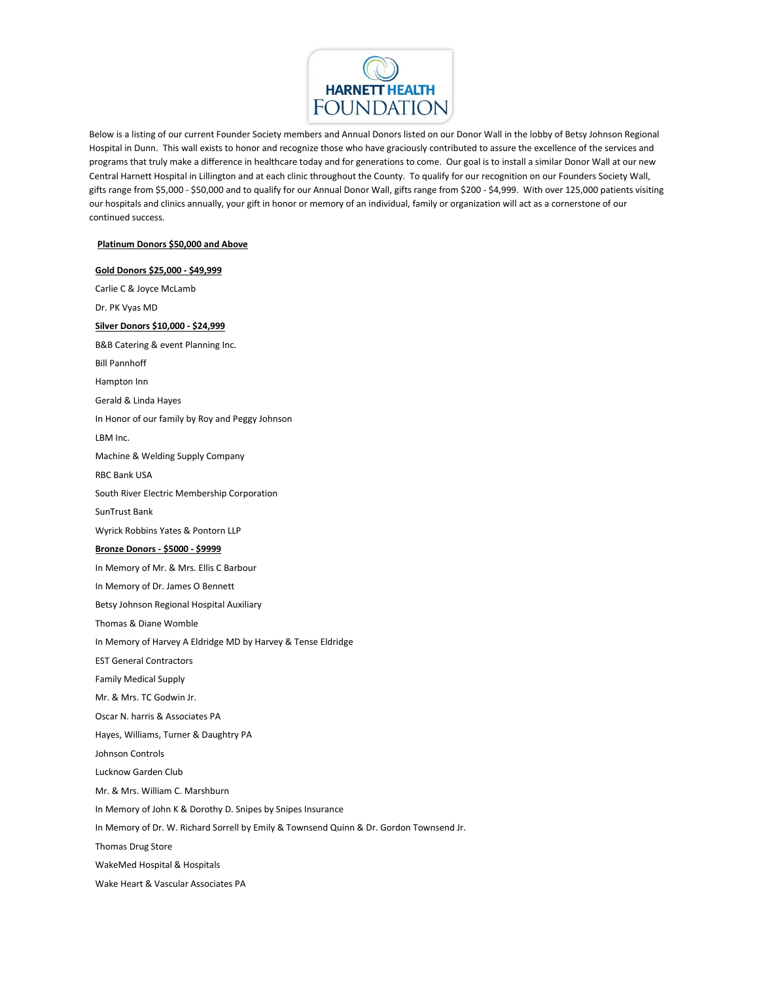

Below is a listing of our current Founder Society members and Annual Donors listed on our Donor Wall in the lobby of Betsy Johnson Regional Hospital in Dunn. This wall exists to honor and recognize those who have graciously contributed to assure the excellence of the services and programs that truly make a difference in healthcare today and for generations to come. Our goal is to install a similar Donor Wall at our new Central Harnett Hospital in Lillington and at each clinic throughout the County. To qualify for our recognition on our Founders Society Wall, gifts range from \$5,000 - \$50,000 and to qualify for our Annual Donor Wall, gifts range from \$200 - \$4,999. With over 125,000 patients visiting our hospitals and clinics annually, your gift in honor or memory of an individual, family or organization will act as a cornerstone of our continued success.

## **Platinum Donors \$50,000 and Above**

## **Gold Donors \$25,000 - \$49,999** Carlie C & Joyce McLamb Dr. PK Vyas MD **Silver Donors \$10,000 - \$24,999** B&B Catering & event Planning Inc. Bill Pannhoff Hampton Inn Gerald & Linda Hayes In Honor of our family by Roy and Peggy Johnson LBM Inc. Machine & Welding Supply Company RBC Bank USA South River Electric Membership Corporation SunTrust Bank Wyrick Robbins Yates & Pontorn LLP **Bronze Donors - \$5000 - \$9999** In Memory of Mr. & Mrs. Ellis C Barbour In Memory of Dr. James O Bennett Betsy Johnson Regional Hospital Auxiliary Thomas & Diane Womble In Memory of Harvey A Eldridge MD by Harvey & Tense Eldridge EST General Contractors Family Medical Supply Mr. & Mrs. TC Godwin Jr. Oscar N. harris & Associates PA Hayes, Williams, Turner & Daughtry PA Johnson Controls Lucknow Garden Club Mr. & Mrs. William C. Marshburn In Memory of John K & Dorothy D. Snipes by Snipes Insurance In Memory of Dr. W. Richard Sorrell by Emily & Townsend Quinn & Dr. Gordon Townsend Jr. Thomas Drug Store WakeMed Hospital & Hospitals Wake Heart & Vascular Associates PA